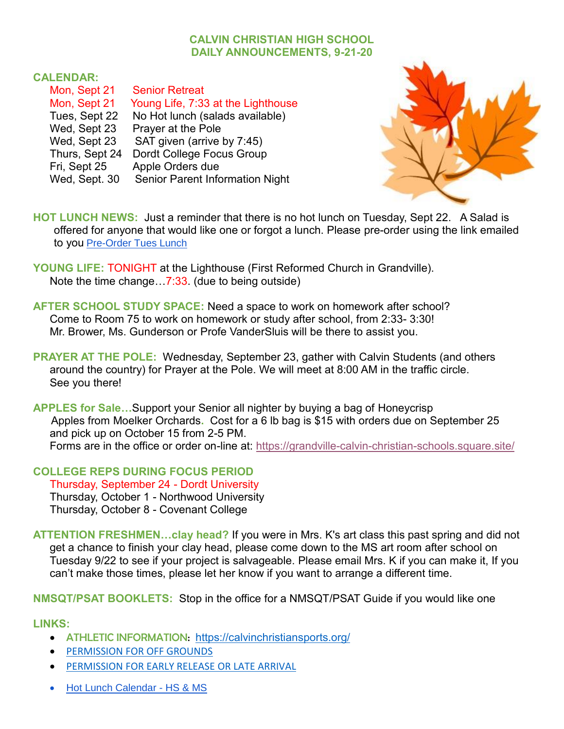## **CALVIN CHRISTIAN HIGH SCHOOL DAILY ANNOUNCEMENTS, 9-21-20**

## **CALENDAR:**

| Mon, Sept 21   | <b>Senior Retreat</b>                  |
|----------------|----------------------------------------|
| Mon, Sept 21   | Young Life, 7:33 at the Lighthouse     |
| Tues, Sept 22  | No Hot lunch (salads available)        |
| Wed, Sept 23   | Prayer at the Pole                     |
| Wed, Sept 23   | SAT given (arrive by 7:45)             |
| Thurs, Sept 24 | Dordt College Focus Group              |
| Fri, Sept 25   | Apple Orders due                       |
| Wed, Sept. 30  | <b>Senior Parent Information Night</b> |



**HOT LUNCH NEWS:** Just a reminder that there is no hot lunch on Tuesday, Sept 22. A Salad is offered for anyone that would like one or forgot a lunch. Please pre-order using the link emailed to you [Pre-Order Tues Lunch](https://forms.gle/Aq7D1jJzKKTBrxsH9)

**YOUNG LIFE:** TONIGHT at the Lighthouse (First Reformed Church in Grandville). Note the time change…7:33. (due to being outside)

- **AFTER SCHOOL STUDY SPACE:** Need a space to work on homework after school? Come to Room 75 to work on homework or study after school, from 2:33- 3:30! Mr. Brower, Ms. Gunderson or Profe VanderSluis will be there to assist you.
- **PRAYER AT THE POLE:** Wednesday, September 23, gather with Calvin Students (and others around the country) for Prayer at the Pole. We will meet at 8:00 AM in the traffic circle. See you there!

**APPLES for Sale…**Support your Senior all nighter by buying a bag of Honeycrisp Apples from Moelker Orchards**.** Cost for a 6 lb bag is \$15 with orders due on September 25 and pick up on October 15 from 2-5 PM. Forms are in the office or order on-line at:<https://grandville-calvin-christian-schools.square.site/>

**COLLEGE REPS DURING FOCUS PERIOD** Thursday, September 24 - Dordt University Thursday, October 1 - Northwood University Thursday, October 8 - Covenant College

**ATTENTION FRESHMEN…clay head?** If you were in Mrs. K's art class this past spring and did not get a chance to finish your clay head, please come down to the MS art room after school on Tuesday 9/22 to see if your project is salvageable. Please email Mrs. K if you can make it, If you can't make those times, please let her know if you want to arrange a different time.

**NMSQT/PSAT BOOKLETS:** Stop in the office for a NMSQT/PSAT Guide if you would like one

**LINKS:**

- ATHLETIC INFORMATION: <https://calvinchristiansports.org/>
- [PERMISSION FOR OFF GROUNDS](https://docs.google.com/document/d/1y_ZzdjNWWTY5UQqJAIfIj9myPyUDXzwLV0UZBbktBcA/edit)
- [PERMISSION FOR EARLY RELEASE OR LATE ARRIVAL](https://docs.google.com/document/d/1qqGlNeoBA5cQ7dE0RlJmyIMnJHgimKNQHkwxXBkE5C0/edit)
- Hot Lunch Calendar HS & MS